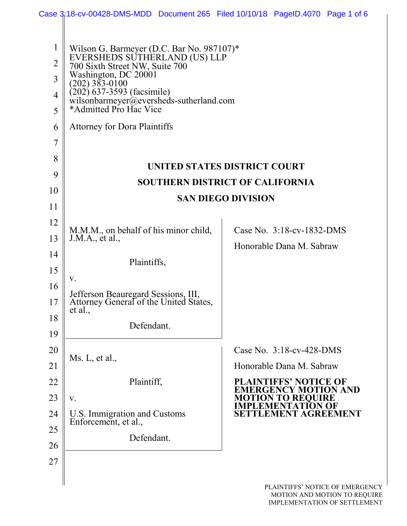|                | Case 3:18-cv-00428-DMS-MDD Document 265 Filed 10/10/18 PageID.4070 Page 1 of 6           |                                                                     |  |  |  |  |  |
|----------------|------------------------------------------------------------------------------------------|---------------------------------------------------------------------|--|--|--|--|--|
|                |                                                                                          |                                                                     |  |  |  |  |  |
| $\mathbf{1}$   | Wilson G. Barmeyer (D.C. Bar No. 987107)*                                                |                                                                     |  |  |  |  |  |
| $\overline{2}$ | EVERSHEDS SUTHERLAND (US) LLP<br>700 Sixth Street NW, Suite 700                          |                                                                     |  |  |  |  |  |
| $\overline{3}$ | Washington, DC 20001<br>$(202)$ 383-0100                                                 |                                                                     |  |  |  |  |  |
| $\overline{4}$ | $(202)$ 637-3593 (facsimile)<br>wilsonbarmeyer@eversheds-sutherland.com                  |                                                                     |  |  |  |  |  |
| 5              | *Admitted Pro Hac Vice                                                                   |                                                                     |  |  |  |  |  |
| 6              | <b>Attorney for Dora Plaintiffs</b>                                                      |                                                                     |  |  |  |  |  |
| $\overline{7}$ |                                                                                          |                                                                     |  |  |  |  |  |
| 8              |                                                                                          | UNITED STATES DISTRICT COURT                                        |  |  |  |  |  |
| 9              |                                                                                          | <b>SOUTHERN DISTRICT OF CALIFORNIA</b>                              |  |  |  |  |  |
| 10             |                                                                                          | <b>SAN DIEGO DIVISION</b>                                           |  |  |  |  |  |
| 11             |                                                                                          |                                                                     |  |  |  |  |  |
| 12             | M.M.M., on behalf of his minor child,                                                    | Case No. 3:18-cv-1832-DMS                                           |  |  |  |  |  |
| 13             | J.M.A., et al.,                                                                          | Honorable Dana M. Sabraw                                            |  |  |  |  |  |
| 14             | Plaintiffs,                                                                              |                                                                     |  |  |  |  |  |
| 15             | V.                                                                                       |                                                                     |  |  |  |  |  |
| 16             |                                                                                          |                                                                     |  |  |  |  |  |
| 17             | Jefferson Beauregard Sessions, III,<br>Attorney General of the United States,<br>et al., |                                                                     |  |  |  |  |  |
| 18             | Defendant.                                                                               |                                                                     |  |  |  |  |  |
| 19             |                                                                                          |                                                                     |  |  |  |  |  |
| 20             | Ms. L, et al.,                                                                           | Case No. 3:18-cv-428-DMS                                            |  |  |  |  |  |
| 21             |                                                                                          | Honorable Dana M. Sabraw                                            |  |  |  |  |  |
| 22             | Plaintiff,                                                                               | <b>PLAINTIFFS' NOTICE OF</b><br><b>EMERGENCY MOTION AND</b>         |  |  |  |  |  |
| 23             | V.                                                                                       | <b>MOTION TO REQUIRE<br/>IMPLEMENTATION OF</b>                      |  |  |  |  |  |
| 24             | U.S. Immigration and Customs<br>Enforcement, et al.,                                     | SETTLEMENT AGREEMENT                                                |  |  |  |  |  |
| 25             | Defendant.                                                                               |                                                                     |  |  |  |  |  |
| 26             |                                                                                          |                                                                     |  |  |  |  |  |
| 27             |                                                                                          |                                                                     |  |  |  |  |  |
|                |                                                                                          | PLAINTIFFS' NOTICE OF EMERGENCY                                     |  |  |  |  |  |
|                |                                                                                          | MOTION AND MOTION TO REQUIRE<br><b>IMPLEMENTATION OF SETTLEMENT</b> |  |  |  |  |  |
|                |                                                                                          |                                                                     |  |  |  |  |  |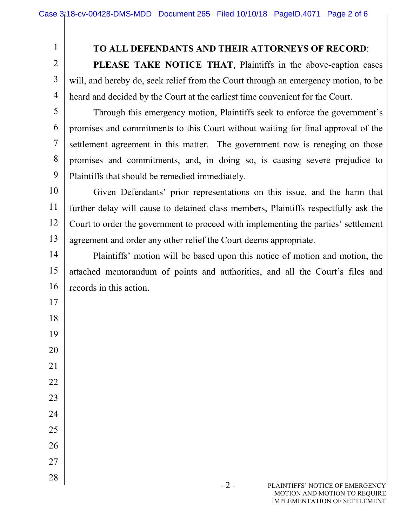1

2

3

4

5

6

7

8

9

17

18

19

20

21

22

23

24

25

26

27

28

## **TO ALL DEFENDANTS AND THEIR ATTORNEYS OF RECORD**:

**PLEASE TAKE NOTICE THAT**, Plaintiffs in the above-caption cases will, and hereby do, seek relief from the Court through an emergency motion, to be heard and decided by the Court at the earliest time convenient for the Court.

Through this emergency motion, Plaintiffs seek to enforce the government's promises and commitments to this Court without waiting for final approval of the settlement agreement in this matter. The government now is reneging on those promises and commitments, and, in doing so, is causing severe prejudice to Plaintiffs that should be remedied immediately.

10 11 12 13 Given Defendants' prior representations on this issue, and the harm that further delay will cause to detained class members, Plaintiffs respectfully ask the Court to order the government to proceed with implementing the parties' settlement agreement and order any other relief the Court deems appropriate.

14 15 16 Plaintiffs' motion will be based upon this notice of motion and motion, the attached memorandum of points and authorities, and all the Court's files and records in this action.

> - 2 - PLAINTIFFS' NOTICE OF EMERGENCY MOTION AND MOTION TO REQUIRE IMPLEMENTATION OF SETTLEMENT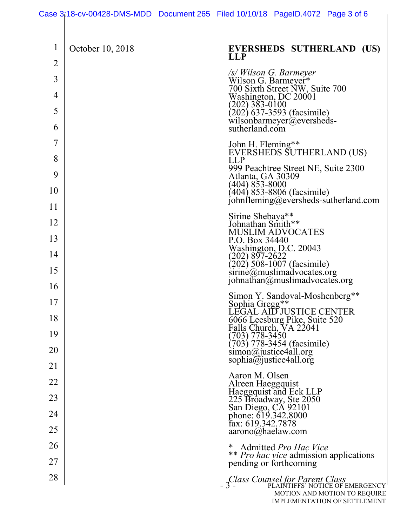|                |                  | Case 3:18-cv-00428-DMS-MDD Document 265 Filed 10/10/18 PageID.4072 Page 3 of 6                          |
|----------------|------------------|---------------------------------------------------------------------------------------------------------|
| 1              | October 10, 2018 | EVERSHEDS SUTHERLAND (US)<br><b>LLP</b>                                                                 |
| $\overline{2}$ |                  |                                                                                                         |
| 3<br>4         |                  | /s/ Wilson G. Barmeyer<br>Wilson G. Barmeyer*<br>700 Sixth Street NW, Suite 700<br>Washington, DC 20001 |
| 5              |                  | (202) 383-0100                                                                                          |
| 6              |                  | $\langle 202 \rangle$ 637-3593 (facsimile)<br>wilsonbarmeyer@eversheds-<br>sutherland.com               |
| $\overline{7}$ |                  | John H. Fleming**                                                                                       |
| 8              |                  | EVERSHEDS SUTHERLAND (US)<br><b>LLP</b><br>999 Peachtree Street NE, Suite 2300                          |
| 9              |                  | Atlanta, GA 30309<br>(404) 853-8000                                                                     |
| 10             |                  | $(404)$ $853-8806$ (facsimile)<br>johnfleming@eversheds-sutherland.com                                  |
| 11             |                  |                                                                                                         |
| 12             |                  | Sirine Shebaya**<br>Johnathan Smith**<br><b>MUSLIM ADVOCATES</b>                                        |
| 13             |                  | P.O. Box 34440<br>Washington, D.C. 20043                                                                |
| 14             |                  | (202) 897-2622                                                                                          |
| 15             |                  | $\overline{(202)}$ 508-1007 (facsimile)<br>sirine@muslimadvocates.org<br>johnathan@muslimadvocates.org  |
| 16             |                  | Simon Y. Sandoval-Moshenberg**                                                                          |
| 17<br>18       |                  | Sophia Gregg**<br>LEGAL AID JUSTICE CENTER                                                              |
| 19             |                  | 6066 Leesburg Pike, Suite 520<br>Falls Church, VA 22041<br>(703) 778-3450                               |
| 20             |                  | $(703) 778-3454$ (facsimile)<br>simon@justice4all.org                                                   |
| 21             |                  | sophia@justice4all.org                                                                                  |
| 22             |                  | Aaron M. Olsen                                                                                          |
| 23             |                  | Alreen Haeggquist<br>Haeggquist and Eck LLP<br>225 Broadway, Ste 2050<br>San Diego, CA 92101            |
| 24             |                  | phone: 619.342.8000                                                                                     |
| 25             |                  | fax: 619.342.7878<br>$aarono(\theta)$ haelaw.com                                                        |
| 26             |                  | Admitted Pro Hac Vice<br>*                                                                              |
| 27             |                  | ** Pro hac vice admission applications<br>pending or forthcoming                                        |
| 28             |                  | - <i>Sclass Counsel for Parent Class</i><br>- 3 - PLAINTIFFS' NOTICE OF EMERGENCY                       |
|                |                  | MOTION AND MOTION TO REQUIRE<br><b>IMPLEMENTATION OF SETTLEMENT</b>                                     |
|                |                  |                                                                                                         |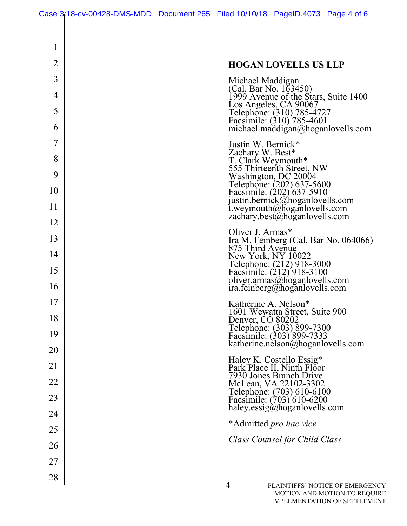1

2

3

4

5

6

7

8

9

10

11

12

13

14

15

16

17

18

19

20

21

22

23

24

25

26

27

28

 $\overline{\phantom{a}}$ 

| <b>HOGAN LOVELLS US LLP</b>                                                                                                                                                                                                                                                    |
|--------------------------------------------------------------------------------------------------------------------------------------------------------------------------------------------------------------------------------------------------------------------------------|
| Michael Maddigan<br>(Cal. Bar No. 163450)<br>1999 Avenue of the Stars, Suite 1400<br>Los Angeles, CA 90067<br>Telephone: (310) 785-4727<br>Facsimile: (310) 785-4601<br>michael.maddigan@hoganlovells.com                                                                      |
| Justin W. Bernick*<br>Zachary W. Best*<br>T. Clark Weymouth*<br>555 Thirteenth Street, NW<br>Washington, DC 20004<br>Telephone: (202) 637-5600<br>Facsimile: (202) 637-5910<br>justin.bernick@hoganlovells.com<br>t.weymouth@hoganlovells.com<br>zachary.best@hoganlovells.com |
| Oliver J. Armas*<br>Ira M. Feinberg (Cal. Bar No. 064066)<br>875 Third Avenue<br>New York, NY 10022<br>Telephone: (212) 918-3000<br>Facsimile: (212) 918-3100<br>oliver.armas@hoganlovells.com<br>ira.feinberg@hoganlovells.com                                                |
| Katherine A. Nelson*<br>1601 Wewatta Street, Suite 900<br>Denver, CO 80202<br>Telephone: (303) 899-7300<br>Facsimile: (303) 899-7333<br>katherine.nelson@hoganlovells.com                                                                                                      |
| Haley K. Costello Essig*<br>Park Place II, Ninth Floor<br>7930 Jones Branch Drive<br>McLean, VA 22102-3302<br>Telephone: (703) 610-6100<br>Facsimile: (703) 610-6200<br>haley.essig@hoganlovells.com                                                                           |
| *Admitted <i>pro hac vice</i>                                                                                                                                                                                                                                                  |
| Class Counsel for Child Class                                                                                                                                                                                                                                                  |
|                                                                                                                                                                                                                                                                                |
| - 4 -<br>PLAINTIFFS' NOTICE OF EMERGENCY<br>MOTION AND MOTION TO REQUIRE<br>IMPLEMENTATION OF SETTLEMENT                                                                                                                                                                       |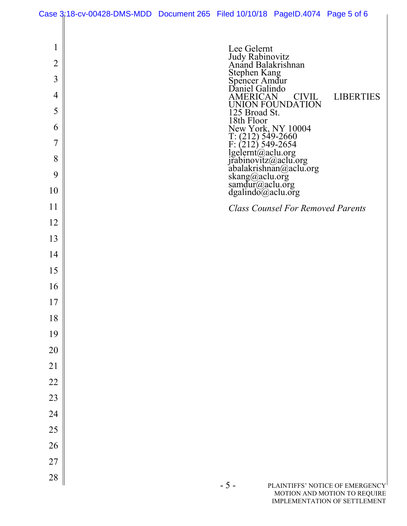|                | Case 3;18-cv-00428-DMS-MDD Document 265 Filed 10/10/18 PageID.4074 Page 5 of 6 |                                                 |                                                                                                                                                                                                                                  |                                                              |
|----------------|--------------------------------------------------------------------------------|-------------------------------------------------|----------------------------------------------------------------------------------------------------------------------------------------------------------------------------------------------------------------------------------|--------------------------------------------------------------|
|                |                                                                                |                                                 |                                                                                                                                                                                                                                  |                                                              |
| 1              |                                                                                | Lee Gelernt                                     |                                                                                                                                                                                                                                  |                                                              |
| $\overline{2}$ |                                                                                | Judy Rabinovitz<br>Anand Balakrishnan           |                                                                                                                                                                                                                                  |                                                              |
| 3              |                                                                                | Stephen Kang<br>Spencer Amdur<br>Daniel Galindo |                                                                                                                                                                                                                                  |                                                              |
| $\overline{4}$ |                                                                                | <b>AMERICAN</b>                                 | <b>CIVIL</b>                                                                                                                                                                                                                     | <b>LIBERTIES</b>                                             |
| 5              |                                                                                |                                                 | UNION FOUNDATION                                                                                                                                                                                                                 |                                                              |
| 6              |                                                                                | 125 Broad St.                                   |                                                                                                                                                                                                                                  |                                                              |
| 7              |                                                                                |                                                 |                                                                                                                                                                                                                                  |                                                              |
| 8              |                                                                                |                                                 |                                                                                                                                                                                                                                  |                                                              |
| 9              |                                                                                |                                                 | 18th Floor<br>New York, NY 10004<br>T: (212) 549-2660<br>F: (212) 549-2654<br>Igelernt@aclu.org<br>irabinovitz@aclu.org<br>abalakrishnan@aclu.org<br>skang@aclu.org<br>samdur@aclu.org<br>dgalindo@aclu.org<br>dgalindo@aclu.org |                                                              |
| 10             |                                                                                |                                                 |                                                                                                                                                                                                                                  |                                                              |
| 11             |                                                                                |                                                 | <b>Class Counsel For Removed Parents</b>                                                                                                                                                                                         |                                                              |
| 12             |                                                                                |                                                 |                                                                                                                                                                                                                                  |                                                              |
| 13             |                                                                                |                                                 |                                                                                                                                                                                                                                  |                                                              |
| 14             |                                                                                |                                                 |                                                                                                                                                                                                                                  |                                                              |
| 15             |                                                                                |                                                 |                                                                                                                                                                                                                                  |                                                              |
| 16             |                                                                                |                                                 |                                                                                                                                                                                                                                  |                                                              |
| 17             |                                                                                |                                                 |                                                                                                                                                                                                                                  |                                                              |
| 18             |                                                                                |                                                 |                                                                                                                                                                                                                                  |                                                              |
| 19             |                                                                                |                                                 |                                                                                                                                                                                                                                  |                                                              |
| 20             |                                                                                |                                                 |                                                                                                                                                                                                                                  |                                                              |
| 21             |                                                                                |                                                 |                                                                                                                                                                                                                                  |                                                              |
| 22             |                                                                                |                                                 |                                                                                                                                                                                                                                  |                                                              |
| 23             |                                                                                |                                                 |                                                                                                                                                                                                                                  |                                                              |
| 24             |                                                                                |                                                 |                                                                                                                                                                                                                                  |                                                              |
| 25             |                                                                                |                                                 |                                                                                                                                                                                                                                  |                                                              |
| 26             |                                                                                |                                                 |                                                                                                                                                                                                                                  |                                                              |
| 27             |                                                                                |                                                 |                                                                                                                                                                                                                                  |                                                              |
| 28             |                                                                                | $-5-$                                           |                                                                                                                                                                                                                                  | PLAINTIFFS' NOTICE OF EMERGENCY                              |
|                |                                                                                |                                                 |                                                                                                                                                                                                                                  | MOTION AND MOTION TO REQUIRE<br>IMPLEMENTATION OF SETTLEMENT |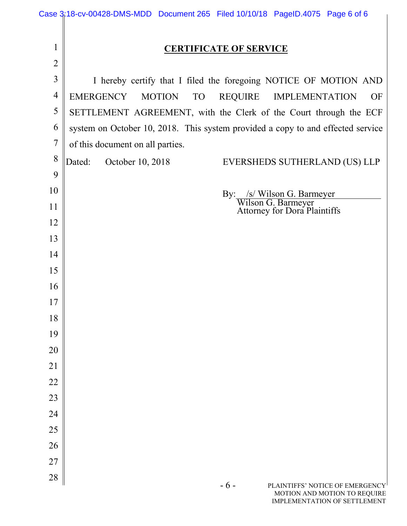|                | Case 3:18-cv-00428-DMS-MDD Document 265 Filed 10/10/18 PageID.4075 Page 6 of 6                         |  |  |  |  |  |  |
|----------------|--------------------------------------------------------------------------------------------------------|--|--|--|--|--|--|
|                |                                                                                                        |  |  |  |  |  |  |
| $\mathbf{1}$   | <b>CERTIFICATE OF SERVICE</b>                                                                          |  |  |  |  |  |  |
| $\overline{2}$ |                                                                                                        |  |  |  |  |  |  |
| $\mathfrak{Z}$ | I hereby certify that I filed the foregoing NOTICE OF MOTION AND                                       |  |  |  |  |  |  |
| $\overline{4}$ | <b>EMERGENCY</b><br><b>MOTION</b><br><b>TO</b><br><b>REQUIRE</b><br><b>OF</b><br><b>IMPLEMENTATION</b> |  |  |  |  |  |  |
| 5              | SETTLEMENT AGREEMENT, with the Clerk of the Court through the ECF                                      |  |  |  |  |  |  |
| 6              | system on October 10, 2018. This system provided a copy to and effected service                        |  |  |  |  |  |  |
| $\overline{7}$ | of this document on all parties.                                                                       |  |  |  |  |  |  |
| 8              | October 10, 2018<br>Dated:<br>EVERSHEDS SUTHERLAND (US) LLP                                            |  |  |  |  |  |  |
| 9              |                                                                                                        |  |  |  |  |  |  |
| 10             | By: /s/ Wilson G. Barmeyer                                                                             |  |  |  |  |  |  |
| 11             | Wilson G. Barmeyer<br>Attorney for Dora Plaintiffs                                                     |  |  |  |  |  |  |
| 12             |                                                                                                        |  |  |  |  |  |  |
| 13             |                                                                                                        |  |  |  |  |  |  |
| 14             |                                                                                                        |  |  |  |  |  |  |
| 15             |                                                                                                        |  |  |  |  |  |  |
| 16             |                                                                                                        |  |  |  |  |  |  |
| 17             |                                                                                                        |  |  |  |  |  |  |
| 18             |                                                                                                        |  |  |  |  |  |  |
| 19             |                                                                                                        |  |  |  |  |  |  |
| 20             |                                                                                                        |  |  |  |  |  |  |
| 21             |                                                                                                        |  |  |  |  |  |  |
| 22             |                                                                                                        |  |  |  |  |  |  |
| 23             |                                                                                                        |  |  |  |  |  |  |
| 24             |                                                                                                        |  |  |  |  |  |  |
| 25<br>26       |                                                                                                        |  |  |  |  |  |  |
| 27             |                                                                                                        |  |  |  |  |  |  |
| 28             |                                                                                                        |  |  |  |  |  |  |
|                | $-6-$<br>PLAINTIFFS' NOTICE OF EMERGENCY<br>MOTION AND MOTION TO REQUIRE                               |  |  |  |  |  |  |
|                | <b>IMPLEMENTATION OF SETTLEMENT</b>                                                                    |  |  |  |  |  |  |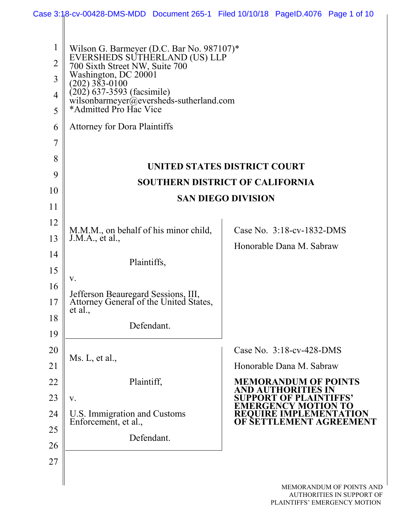|                |                                                                         | Case 3:18-cv-00428-DMS-MDD Document 265-1 Filed 10/10/18 PageID.4076 Page 1 of 10 |  |  |  |  |  |
|----------------|-------------------------------------------------------------------------|-----------------------------------------------------------------------------------|--|--|--|--|--|
|                |                                                                         |                                                                                   |  |  |  |  |  |
| $\mathbf{1}$   | Wilson G. Barmeyer (D.C. Bar No. 987107)*                               |                                                                                   |  |  |  |  |  |
| $\overline{2}$ | EVERSHEDS SUTHERLAND (US) LLP<br>700 Sixth Street NW, Suite 700         |                                                                                   |  |  |  |  |  |
| 3              | Washington, DC 20001<br>$(202)$ 383-0100                                |                                                                                   |  |  |  |  |  |
| $\overline{4}$ | $(202)$ 637-3593 (facsimile)<br>wilsonbarmeyer@eversheds-sutherland.com |                                                                                   |  |  |  |  |  |
| 5              | *Admitted Pro Hac Vice                                                  |                                                                                   |  |  |  |  |  |
| 6              | <b>Attorney for Dora Plaintiffs</b>                                     |                                                                                   |  |  |  |  |  |
| $\overline{7}$ |                                                                         |                                                                                   |  |  |  |  |  |
| 8              |                                                                         | UNITED STATES DISTRICT COURT                                                      |  |  |  |  |  |
| 9              |                                                                         | <b>SOUTHERN DISTRICT OF CALIFORNIA</b>                                            |  |  |  |  |  |
| 10             |                                                                         | <b>SAN DIEGO DIVISION</b>                                                         |  |  |  |  |  |
| 11             |                                                                         |                                                                                   |  |  |  |  |  |
| 12             | M.M.M., on behalf of his minor child,                                   | Case No. 3:18-cv-1832-DMS                                                         |  |  |  |  |  |
| 13             | J.M.A., et al.,                                                         | Honorable Dana M. Sabraw                                                          |  |  |  |  |  |
| 14             | Plaintiffs,                                                             |                                                                                   |  |  |  |  |  |
| 15             | V.                                                                      |                                                                                   |  |  |  |  |  |
| 16             | Jefferson Beauregard Sessions, III,                                     |                                                                                   |  |  |  |  |  |
| 17             | Attorney General of the United States,<br>et al.,                       |                                                                                   |  |  |  |  |  |
| 18             | Defendant.                                                              |                                                                                   |  |  |  |  |  |
| 19             |                                                                         | Case No. $3:18$ -cv-428-DMS                                                       |  |  |  |  |  |
| 20<br>21       | Ms. L, et al.,                                                          | Honorable Dana M. Sabraw                                                          |  |  |  |  |  |
| 22             | Plaintiff,                                                              | <b>MEMORANDUM OF POINTS</b>                                                       |  |  |  |  |  |
| 23             | V.                                                                      | AND AUT                                                                           |  |  |  |  |  |
| 24             | U.S. Immigration and Customs                                            |                                                                                   |  |  |  |  |  |
| 25             | Enforcement, et al.,                                                    | OF SET<br>ÆMENT AGREEM                                                            |  |  |  |  |  |
| 26             | Defendant.                                                              |                                                                                   |  |  |  |  |  |
| 27             |                                                                         |                                                                                   |  |  |  |  |  |
|                |                                                                         |                                                                                   |  |  |  |  |  |
|                |                                                                         | MEMORANDUM OF POINTS AND<br>AUTHORITIES IN SUPPORT OF                             |  |  |  |  |  |
|                |                                                                         | PLAINTIFFS' EMERGENCY MOTION                                                      |  |  |  |  |  |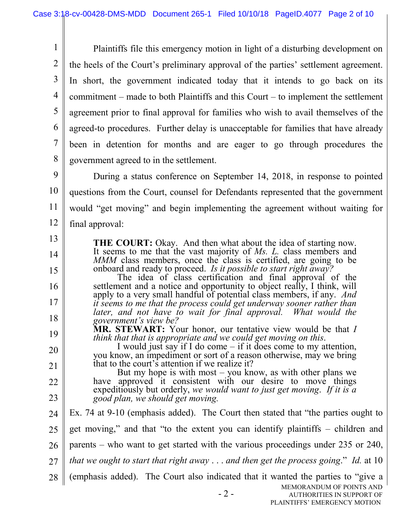1 2 3 4 5 6 7 8 Plaintiffs file this emergency motion in light of a disturbing development on the heels of the Court's preliminary approval of the parties' settlement agreement. In short, the government indicated today that it intends to go back on its commitment – made to both Plaintiffs and this Court – to implement the settlement agreement prior to final approval for families who wish to avail themselves of the agreed-to procedures. Further delay is unacceptable for families that have already been in detention for months and are eager to go through procedures the government agreed to in the settlement.

9 10 11 12 During a status conference on September 14, 2018, in response to pointed questions from the Court, counsel for Defendants represented that the government would "get moving" and begin implementing the agreement without waiting for final approval:

**THE COURT:** Okay. And then what about the idea of starting now. It seems to me that the vast majority of *Ms. L.* class members and *MMM* class members, once the class is certified, are going to be onboard and ready to proceed. *Is it possible to start right away?*

13

14

15

16

17

18

The idea of class certification and final approval of the settlement and a notice and opportunity to object really, I think, will apply to a very small handful of potential class members, if any. *And it seems to me that the process could get underway sooner rather than*  later, and not have to wait for final approval. What would the *government's view be?*

19 **MR. STEWART:** Your honor, our tentative view would be that *I* think that that is appropriate and we could get moving on this.

20 21 *I* would just say if I do come – if it does come to my attention, you know, an impediment or sort of a reason otherwise, may we bring that to the court's attention if we realize it?

22 23 But my hope is with most  $-$  you know, as with other plans we have approved it consistent with our desire to move things expeditiously but orderly, *we would want to just get moving*. *If it is a good plan, we should get moving.*

MEMORANDUM OF POINTS AND 24 25 26 27 28 Ex. 74 at 9-10 (emphasis added). The Court then stated that "the parties ought to get moving," and that "to the extent you can identify plaintiffs – children and parents – who want to get started with the various proceedings under 235 or 240, *that we ought to start that right away* . . . *and then get the process going*." *Id.* at 10 (emphasis added). The Court also indicated that it wanted the parties to "give a

<sup>- 2 -</sup>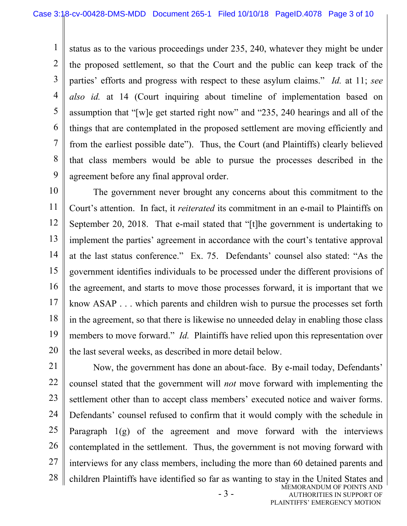1 2 3 4 5 6 7 8 9 status as to the various proceedings under 235, 240, whatever they might be under the proposed settlement, so that the Court and the public can keep track of the parties' efforts and progress with respect to these asylum claims." *Id.* at 11; *see also id.* at 14 (Court inquiring about timeline of implementation based on assumption that "[w]e get started right now" and "235, 240 hearings and all of the things that are contemplated in the proposed settlement are moving efficiently and from the earliest possible date"). Thus, the Court (and Plaintiffs) clearly believed that class members would be able to pursue the processes described in the agreement before any final approval order.

10 11 12 13 14 15 16 17 18 19 20 The government never brought any concerns about this commitment to the Court's attention. In fact, it *reiterated* its commitment in an e-mail to Plaintiffs on September 20, 2018. That e-mail stated that "[t]he government is undertaking to implement the parties' agreement in accordance with the court's tentative approval at the last status conference." Ex. 75. Defendants' counsel also stated: "As the government identifies individuals to be processed under the different provisions of the agreement, and starts to move those processes forward, it is important that we know ASAP . . . which parents and children wish to pursue the processes set forth in the agreement, so that there is likewise no unneeded delay in enabling those class members to move forward." *Id.* Plaintiffs have relied upon this representation over the last several weeks, as described in more detail below.

- 3 - MEMORANDUM OF POINTS AND AUTHORITIES IN SUPPORT OF 21 22 23 24 25 26 27 28 Now, the government has done an about-face. By e-mail today, Defendants' counsel stated that the government will *not* move forward with implementing the settlement other than to accept class members' executed notice and waiver forms. Defendants' counsel refused to confirm that it would comply with the schedule in Paragraph 1(g) of the agreement and move forward with the interviews contemplated in the settlement. Thus, the government is not moving forward with interviews for any class members, including the more than 60 detained parents and children Plaintiffs have identified so far as wanting to stay in the United States and

PLAINTIFFS' EMERGENCY MOTION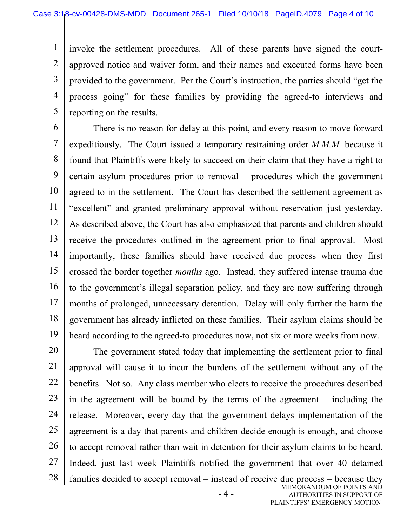1 2 3 4 5 invoke the settlement procedures. All of these parents have signed the courtapproved notice and waiver form, and their names and executed forms have been provided to the government. Per the Court's instruction, the parties should "get the process going" for these families by providing the agreed-to interviews and reporting on the results.

6 7 8 9 10 11 12 13 14 15 16 17 18 19 There is no reason for delay at this point, and every reason to move forward expeditiously. The Court issued a temporary restraining order *M.M.M.* because it found that Plaintiffs were likely to succeed on their claim that they have a right to certain asylum procedures prior to removal – procedures which the government agreed to in the settlement. The Court has described the settlement agreement as "excellent" and granted preliminary approval without reservation just yesterday. As described above, the Court has also emphasized that parents and children should receive the procedures outlined in the agreement prior to final approval. Most importantly, these families should have received due process when they first crossed the border together *months* ago. Instead, they suffered intense trauma due to the government's illegal separation policy, and they are now suffering through months of prolonged, unnecessary detention. Delay will only further the harm the government has already inflicted on these families. Their asylum claims should be heard according to the agreed-to procedures now, not six or more weeks from now.

- 4 - MEMORANDUM OF POINTS AND AUTHORITIES IN SUPPORT OF 20 21 22 23 24 25 26 27 28 The government stated today that implementing the settlement prior to final approval will cause it to incur the burdens of the settlement without any of the benefits. Not so. Any class member who elects to receive the procedures described in the agreement will be bound by the terms of the agreement – including the release. Moreover, every day that the government delays implementation of the agreement is a day that parents and children decide enough is enough, and choose to accept removal rather than wait in detention for their asylum claims to be heard. Indeed, just last week Plaintiffs notified the government that over 40 detained families decided to accept removal – instead of receive due process – because they

PLAINTIFFS' EMERGENCY MOTION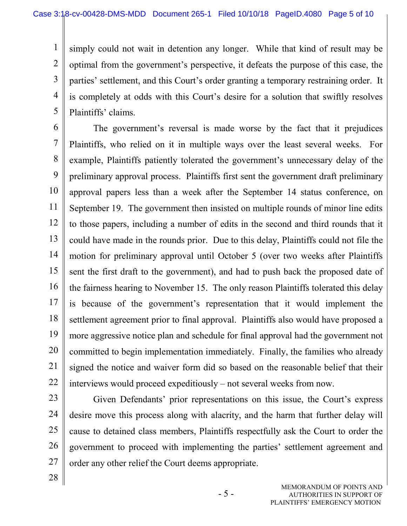1 2 3 4 5 simply could not wait in detention any longer. While that kind of result may be optimal from the government's perspective, it defeats the purpose of this case, the parties' settlement, and this Court's order granting a temporary restraining order. It is completely at odds with this Court's desire for a solution that swiftly resolves Plaintiffs' claims.

6

7 8 9 10 11 12 13 14 15 16 17 18 19 20 21 22 The government's reversal is made worse by the fact that it prejudices Plaintiffs, who relied on it in multiple ways over the least several weeks. For example, Plaintiffs patiently tolerated the government's unnecessary delay of the preliminary approval process. Plaintiffs first sent the government draft preliminary approval papers less than a week after the September 14 status conference, on September 19. The government then insisted on multiple rounds of minor line edits to those papers, including a number of edits in the second and third rounds that it could have made in the rounds prior. Due to this delay, Plaintiffs could not file the motion for preliminary approval until October 5 (over two weeks after Plaintiffs sent the first draft to the government), and had to push back the proposed date of the fairness hearing to November 15. The only reason Plaintiffs tolerated this delay is because of the government's representation that it would implement the settlement agreement prior to final approval. Plaintiffs also would have proposed a more aggressive notice plan and schedule for final approval had the government not committed to begin implementation immediately. Finally, the families who already signed the notice and waiver form did so based on the reasonable belief that their interviews would proceed expeditiously – not several weeks from now.

- 23
- 24 25

26

27

28

Given Defendants' prior representations on this issue, the Court's express desire move this process along with alacrity, and the harm that further delay will cause to detained class members, Plaintiffs respectfully ask the Court to order the government to proceed with implementing the parties' settlement agreement and order any other relief the Court deems appropriate.

> MEMORANDUM OF POINTS AND AUTHORITIES IN SUPPORT OF PLAINTIFFS' EMERGENCY MOTION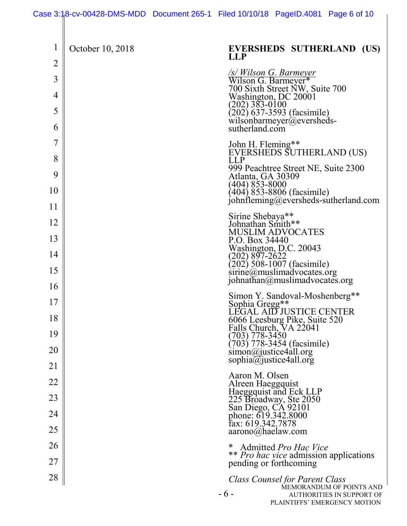|                     | Case 3:18-cv-00428-DMS-MDD Document 265-1 Filed 10/10/18 PageID.4081 Page 6 of 10 |                                                 |                                                                                                        |                                                       |
|---------------------|-----------------------------------------------------------------------------------|-------------------------------------------------|--------------------------------------------------------------------------------------------------------|-------------------------------------------------------|
| $\mathbf 1$         | October 10, 2018                                                                  | <b>LLP</b>                                      |                                                                                                        | <b>EVERSHEDS SUTHERLAND (US)</b>                      |
| $\overline{2}$      |                                                                                   |                                                 |                                                                                                        |                                                       |
| $\overline{3}$<br>4 |                                                                                   |                                                 | /s/ Wilson G. Barmeyer<br>Wilson G. Barmeyer*<br>700 Sixth Street NW, Suite 700                        |                                                       |
| 5                   |                                                                                   |                                                 | Washington, DC 20001<br>(202) 383-0100                                                                 |                                                       |
| 6                   |                                                                                   |                                                 | $(202)$ 637-3593 (facsimile)<br>wilsonbarmeyer@eversheds-<br>sutherland.com                            |                                                       |
| $\overline{7}$      |                                                                                   | John H. Fleming**                               | EVERSHEDS SUTHERLAND (US)                                                                              |                                                       |
| 8<br>9              |                                                                                   | <b>LLP</b>                                      | 999 Peachtree Street NE, Suite 2300                                                                    |                                                       |
| 10                  |                                                                                   | Atlanta, GA 30309<br>(404) 853-8000             | (404) 853-8806 (facsimile)                                                                             |                                                       |
| 11                  |                                                                                   |                                                 |                                                                                                        | iohnfleming@eversheds-sutherland.com                  |
| 12                  |                                                                                   | Sirine Shebaya**<br>Johnathan Smith**           |                                                                                                        |                                                       |
| 13                  |                                                                                   | P.O. Box 34440                                  | <b>MUSLIM ADVOCATES</b>                                                                                |                                                       |
| 14                  |                                                                                   |                                                 | Washington, D.C. 20043<br>(202) 897-2622                                                               |                                                       |
| 15                  |                                                                                   |                                                 | $\binom{202}{202}$ 508-1007 (facsimile)<br>sirine@muslimadvocates.org<br>johnathan@muslimadvocates.org |                                                       |
| 16                  |                                                                                   |                                                 | Simon Y. Sandoval-Moshenberg**                                                                         |                                                       |
| 17                  |                                                                                   |                                                 | Sophia Gregg**<br>LEGAL AID JUSTICE CENTER                                                             |                                                       |
| 18                  |                                                                                   |                                                 | 6066 Leesburg Pike, Suite 520<br>Falls Church, VA 22041                                                |                                                       |
| 19                  |                                                                                   | (703) 778-3450                                  | $(703)$ 778-3454 (facsimile)                                                                           |                                                       |
| 20                  |                                                                                   | simon@justice4all.org<br>sophia@justice4all.org |                                                                                                        |                                                       |
| 21                  |                                                                                   | Aaron M. Olsen                                  |                                                                                                        |                                                       |
| 22                  |                                                                                   | Alreen Haeggquist                               |                                                                                                        |                                                       |
| 23<br>24            |                                                                                   |                                                 | Haeggquist and Eck LLP<br>225 Broadway, Ste 2050<br>San Diego, CA 92101<br>phone: 619.342.8000         |                                                       |
| 25                  |                                                                                   | fax: 619.342.7878<br>aarono@haelaw.com          |                                                                                                        |                                                       |
| 26                  |                                                                                   |                                                 | Admitted Pro Hac Vice                                                                                  |                                                       |
| 27                  |                                                                                   |                                                 | pending or forthcoming                                                                                 | <i>** Pro hac vice</i> admission applications         |
| 28                  |                                                                                   | $-6-$                                           | <b>Class Counsel for Parent Class</b>                                                                  | MEMORANDUM OF POINTS AND<br>AUTHORITIES IN SUPPORT OF |
|                     |                                                                                   |                                                 |                                                                                                        | PLAINTIFFS' EMERGENCY MOTION                          |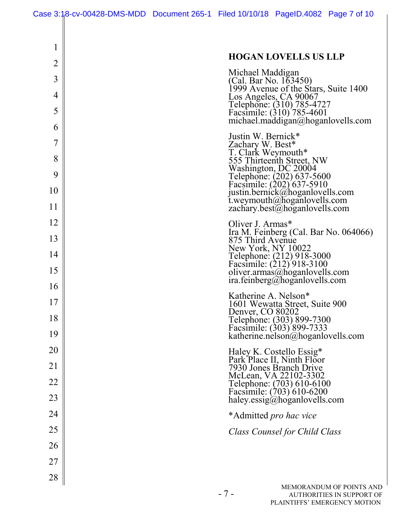| 1              | <b>HOGAN LOVELLS US LLP</b>                                                                 |
|----------------|---------------------------------------------------------------------------------------------|
| $\overline{2}$ | Michael Maddigan                                                                            |
| 3              | (Cal. Bar No. 163450)<br>1999 Avenue of the Stars, Suite 1400                               |
| 4<br>5         | Los Angeles, CA 90067<br>Telephone: (310) 785-4727<br>Facsimile: (310) 785-4601             |
| 6              | michael.maddigan@hoganlovells.com                                                           |
| 7              | Justin W. Bernick*<br>Zachary W. Best*                                                      |
| 8              | T. Clark Weymouth*<br>555 Thirteenth Street, NW                                             |
| 9              | Washington, DC 20004<br>Telephone: (202) 637-5600                                           |
| 10             | Facsimile: (202) 637-5910<br>justin.bernick@hoganlovells.com<br>t.weymouth@hoganlovells.com |
| 11             | zachary.best@hoganlovells.com                                                               |
| 12             | Oliver J. Armas*<br>Ira M. Feinberg (Cal. Bar No. 064066)                                   |
| 13             | 875 Third Avenue<br>New York, NY 10022                                                      |
| 14             | Telephone: (212) 918-3000<br>Facsimile: (212) 918-3100                                      |
| 15             | oliver.armas@hoganlovells.com<br>ira.feinberg@hoganlovells.com                              |
| 16             | Katherine A. Nelson*                                                                        |
| 17             | 1601 Wewatta Street, Suite 900<br>Denver, CO 80202                                          |
| 18             | Telephone: (303) 899-7300<br>Facsimile: (303) 899-7333                                      |
| 19             | katherine.nelson@hoganlovells.com                                                           |
| 20             | Haley K. Costello Essig*<br>Park Place II, Ninth Floor<br>7930 Jones Branch Drive           |
| 21             |                                                                                             |
| 22             | McLean, VA 22102-3302<br>Telephone: (703) 610-6100<br>Facsimile: (703) 610-6200             |
| 23             | haley.essig@hoganlovells.com                                                                |
| 24             | *Admitted <i>pro hac vice</i>                                                               |
| 25             | Class Counsel for Child Class                                                               |
| 26             |                                                                                             |
| 27             |                                                                                             |
| 28             | MEMORANDUM OF POINTS AND                                                                    |
|                | $-7-$<br>AUTHORITIES IN SUPPORT OF                                                          |

 $\overline{\phantom{a}}$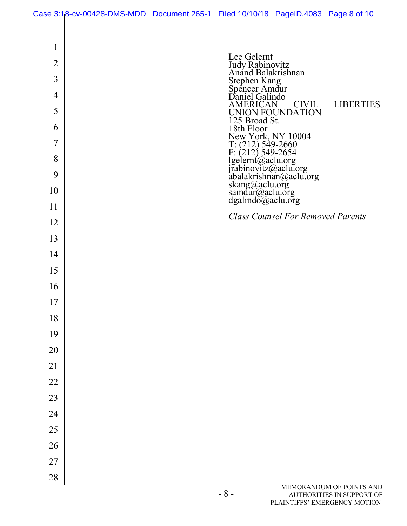| Case 3:18-cv-00428-DMS-MDD Document 265-1 Filed 10/10/18 PageID.4083 Page 8 of 10 |  |  |
|-----------------------------------------------------------------------------------|--|--|

| 1  | Lee Gelernt                                                                                                                                                                                                                      |
|----|----------------------------------------------------------------------------------------------------------------------------------------------------------------------------------------------------------------------------------|
| 2  | Judy Rabinovitz<br>Anand Balakrishnan                                                                                                                                                                                            |
| 3  | Stephen Kang<br>Spencer Amdur<br>Daniel Galindo                                                                                                                                                                                  |
| 4  |                                                                                                                                                                                                                                  |
| 5  | <b>CIVIL</b><br><b>LIBERTIES</b><br>AMERICAN<br>UNION FOUNDATION                                                                                                                                                                 |
| 6  | 125 Broad St.<br>18th Floor                                                                                                                                                                                                      |
| 7  |                                                                                                                                                                                                                                  |
| 8  |                                                                                                                                                                                                                                  |
| 9  |                                                                                                                                                                                                                                  |
| 10 | 18th Floor<br>New York, NY 10004<br>T: (212) 549-2660<br>F: (212) 549-2654<br>Igelernt@aclu.org<br>irabinovitz@aclu.org<br>abalakrishnan@aclu.org<br>skang@aclu.org<br>samdur@aclu.org<br>dgalindo@aclu.org<br>dgalindo@aclu.org |
| 11 |                                                                                                                                                                                                                                  |
| 12 | <b>Class Counsel For Removed Parents</b>                                                                                                                                                                                         |
| 13 |                                                                                                                                                                                                                                  |
| 14 |                                                                                                                                                                                                                                  |
| 15 |                                                                                                                                                                                                                                  |
| 16 |                                                                                                                                                                                                                                  |
| 17 |                                                                                                                                                                                                                                  |
| 18 |                                                                                                                                                                                                                                  |
| 19 |                                                                                                                                                                                                                                  |
| 20 |                                                                                                                                                                                                                                  |
| 21 |                                                                                                                                                                                                                                  |
| 22 |                                                                                                                                                                                                                                  |
| 23 |                                                                                                                                                                                                                                  |
| 24 |                                                                                                                                                                                                                                  |
| 25 |                                                                                                                                                                                                                                  |
| 26 |                                                                                                                                                                                                                                  |
| 27 |                                                                                                                                                                                                                                  |
| 28 |                                                                                                                                                                                                                                  |
|    | MEMORANDUM OF POINTS AND<br>$-8-$<br>AUTHORITIES IN SUPPORT OF                                                                                                                                                                   |
|    | PLAINTIFFS' EMERGENCY MOTION                                                                                                                                                                                                     |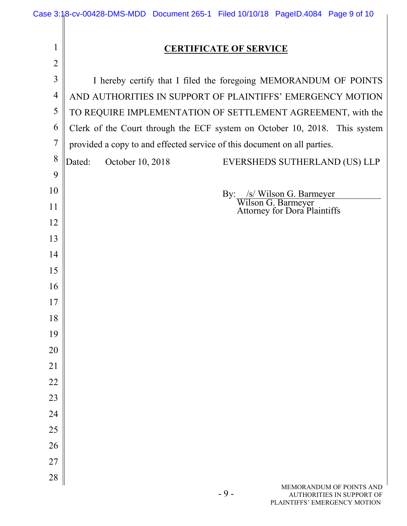|                | Case 3:18-cv-00428-DMS-MDD Document 265-1 Filed 10/10/18 PageID.4084 Page 9 of 10                     |  |  |  |  |  |
|----------------|-------------------------------------------------------------------------------------------------------|--|--|--|--|--|
| $\mathbf{1}$   | <b>CERTIFICATE OF SERVICE</b>                                                                         |  |  |  |  |  |
| $\overline{2}$ |                                                                                                       |  |  |  |  |  |
| $\overline{3}$ | I hereby certify that I filed the foregoing MEMORANDUM OF POINTS                                      |  |  |  |  |  |
| 4              | AND AUTHORITIES IN SUPPORT OF PLAINTIFFS' EMERGENCY MOTION                                            |  |  |  |  |  |
| 5              | TO REQUIRE IMPLEMENTATION OF SETTLEMENT AGREEMENT, with the                                           |  |  |  |  |  |
| 6              | Clerk of the Court through the ECF system on October 10, 2018. This system                            |  |  |  |  |  |
| $\overline{7}$ | provided a copy to and effected service of this document on all parties.                              |  |  |  |  |  |
| 8              | Dated:<br>October 10, 2018<br>EVERSHEDS SUTHERLAND (US) LLP                                           |  |  |  |  |  |
| 9              |                                                                                                       |  |  |  |  |  |
| 10             | By: /s/ Wilson G. Barmeyer                                                                            |  |  |  |  |  |
| 11             | Wilson G. Barmeyer<br>Attorney for Dora Plaintiffs                                                    |  |  |  |  |  |
| 12             |                                                                                                       |  |  |  |  |  |
| 13             |                                                                                                       |  |  |  |  |  |
| 14             |                                                                                                       |  |  |  |  |  |
| 15<br>16       |                                                                                                       |  |  |  |  |  |
| 17             |                                                                                                       |  |  |  |  |  |
| 18             |                                                                                                       |  |  |  |  |  |
| 19             |                                                                                                       |  |  |  |  |  |
| 20             |                                                                                                       |  |  |  |  |  |
| 21             |                                                                                                       |  |  |  |  |  |
| 22             |                                                                                                       |  |  |  |  |  |
| 23             |                                                                                                       |  |  |  |  |  |
| 24             |                                                                                                       |  |  |  |  |  |
| 25             |                                                                                                       |  |  |  |  |  |
| 26             |                                                                                                       |  |  |  |  |  |
| 27             |                                                                                                       |  |  |  |  |  |
| 28             |                                                                                                       |  |  |  |  |  |
|                | MEMORANDUM OF POINTS AND<br>$-9-$<br><b>AUTHORITIES IN SUPPORT OF</b><br>PLAINTIFFS' EMERGENCY MOTION |  |  |  |  |  |
|                |                                                                                                       |  |  |  |  |  |